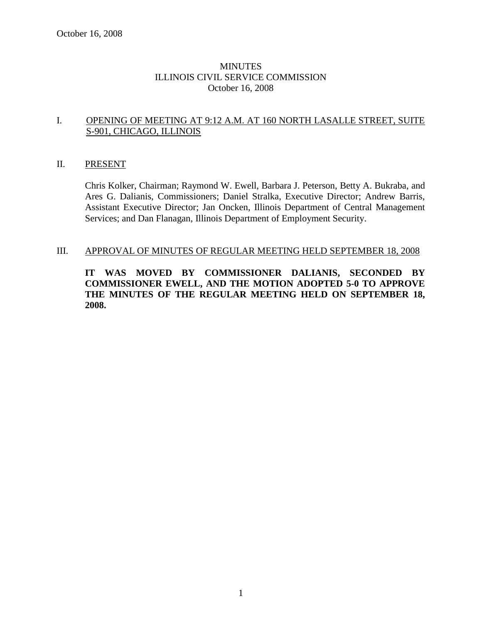# MINUTES ILLINOIS CIVIL SERVICE COMMISSION October 16, 2008

# I. OPENING OF MEETING AT 9:12 A.M. AT 160 NORTH LASALLE STREET, SUITE S-901, CHICAGO, ILLINOIS

### II. PRESENT

Chris Kolker, Chairman; Raymond W. Ewell, Barbara J. Peterson, Betty A. Bukraba, and Ares G. Dalianis, Commissioners; Daniel Stralka, Executive Director; Andrew Barris, Assistant Executive Director; Jan Oncken, Illinois Department of Central Management Services; and Dan Flanagan, Illinois Department of Employment Security.

#### III. APPROVAL OF MINUTES OF REGULAR MEETING HELD SEPTEMBER 18, 2008

**IT WAS MOVED BY COMMISSIONER DALIANIS, SECONDED BY COMMISSIONER EWELL, AND THE MOTION ADOPTED 5-0 TO APPROVE THE MINUTES OF THE REGULAR MEETING HELD ON SEPTEMBER 18, 2008.**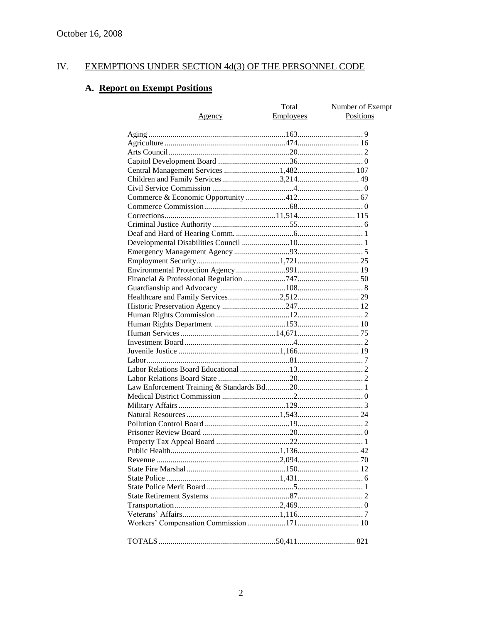#### IV. EXEMPTIONS UNDER SECTION 4d(3) OF THE PERSONNEL CODE

# A. Report on Exempt Positions

|                                       | Total     | Number of Exempt |
|---------------------------------------|-----------|------------------|
| Agency                                | Employees | Positions        |
|                                       |           |                  |
|                                       |           |                  |
|                                       |           |                  |
|                                       |           |                  |
|                                       |           |                  |
| Central Management Services 1,482 107 |           |                  |
| Children and Family Services 3,214 49 |           |                  |
|                                       |           |                  |
|                                       |           |                  |
|                                       |           |                  |
|                                       |           |                  |
|                                       |           |                  |
|                                       |           |                  |
|                                       |           |                  |
|                                       |           |                  |
|                                       |           |                  |
|                                       |           |                  |
|                                       |           |                  |
|                                       |           |                  |
|                                       |           |                  |
|                                       |           |                  |
|                                       |           |                  |
|                                       |           |                  |
|                                       |           |                  |
|                                       |           |                  |
|                                       |           |                  |
|                                       |           |                  |
|                                       |           |                  |
|                                       |           |                  |
|                                       |           |                  |
|                                       |           |                  |
|                                       |           |                  |
|                                       |           |                  |
|                                       |           |                  |
|                                       |           |                  |
|                                       |           |                  |
|                                       |           |                  |
|                                       |           |                  |
|                                       |           |                  |
|                                       |           |                  |
|                                       |           |                  |
|                                       |           |                  |
|                                       |           |                  |
|                                       |           |                  |
|                                       |           |                  |
|                                       |           |                  |
|                                       |           |                  |
|                                       |           |                  |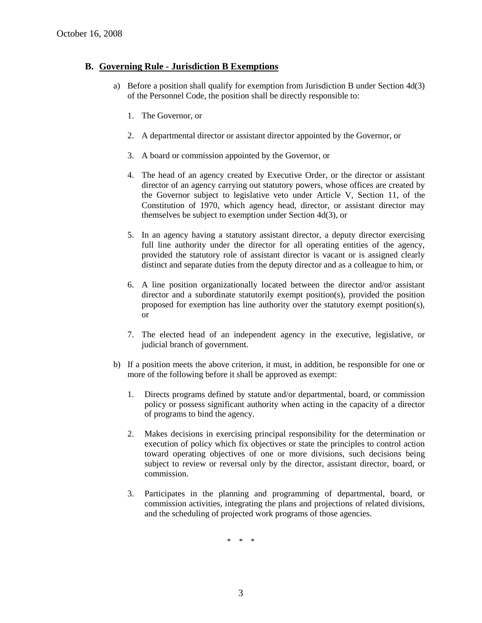# **B. Governing Rule - Jurisdiction B Exemptions**

- a) Before a position shall qualify for exemption from Jurisdiction B under Section 4d(3) of the Personnel Code, the position shall be directly responsible to:
	- 1. The Governor, or
	- 2. A departmental director or assistant director appointed by the Governor, or
	- 3. A board or commission appointed by the Governor, or
	- 4. The head of an agency created by Executive Order, or the director or assistant director of an agency carrying out statutory powers, whose offices are created by the Governor subject to legislative veto under Article V, Section 11, of the Constitution of 1970, which agency head, director, or assistant director may themselves be subject to exemption under Section 4d(3), or
	- 5. In an agency having a statutory assistant director, a deputy director exercising full line authority under the director for all operating entities of the agency, provided the statutory role of assistant director is vacant or is assigned clearly distinct and separate duties from the deputy director and as a colleague to him, or
	- 6. A line position organizationally located between the director and/or assistant director and a subordinate statutorily exempt position(s), provided the position proposed for exemption has line authority over the statutory exempt position(s), or
	- 7. The elected head of an independent agency in the executive, legislative, or judicial branch of government.
- b) If a position meets the above criterion, it must, in addition, be responsible for one or more of the following before it shall be approved as exempt:
	- 1. Directs programs defined by statute and/or departmental, board, or commission policy or possess significant authority when acting in the capacity of a director of programs to bind the agency.
	- 2. Makes decisions in exercising principal responsibility for the determination or execution of policy which fix objectives or state the principles to control action toward operating objectives of one or more divisions, such decisions being subject to review or reversal only by the director, assistant director, board, or commission.
	- 3. Participates in the planning and programming of departmental, board, or commission activities, integrating the plans and projections of related divisions, and the scheduling of projected work programs of those agencies.

\* \* \*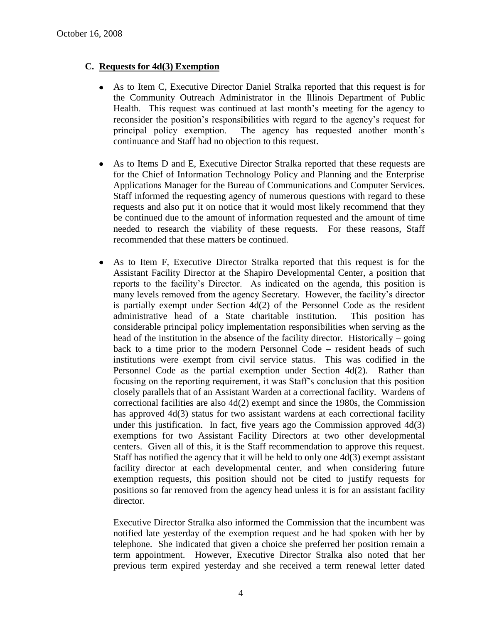# **C. Requests for 4d(3) Exemption**

- As to Item C, Executive Director Daniel Stralka reported that this request is for the Community Outreach Administrator in the Illinois Department of Public Health. This request was continued at last month's meeting for the agency to reconsider the position's responsibilities with regard to the agency's request for principal policy exemption. The agency has requested another month's continuance and Staff had no objection to this request.
- As to Items D and E, Executive Director Stralka reported that these requests are  $\bullet$ for the Chief of Information Technology Policy and Planning and the Enterprise Applications Manager for the Bureau of Communications and Computer Services. Staff informed the requesting agency of numerous questions with regard to these requests and also put it on notice that it would most likely recommend that they be continued due to the amount of information requested and the amount of time needed to research the viability of these requests. For these reasons, Staff recommended that these matters be continued.
- As to Item F, Executive Director Stralka reported that this request is for the Assistant Facility Director at the Shapiro Developmental Center, a position that reports to the facility's Director. As indicated on the agenda, this position is many levels removed from the agency Secretary. However, the facility's director is partially exempt under Section  $4d(2)$  of the Personnel Code as the resident administrative head of a State charitable institution. This position has considerable principal policy implementation responsibilities when serving as the head of the institution in the absence of the facility director. Historically – going back to a time prior to the modern Personnel Code – resident heads of such institutions were exempt from civil service status. This was codified in the Personnel Code as the partial exemption under Section 4d(2). Rather than focusing on the reporting requirement, it was Staff's conclusion that this position closely parallels that of an Assistant Warden at a correctional facility. Wardens of correctional facilities are also 4d(2) exempt and since the 1980s, the Commission has approved 4d(3) status for two assistant wardens at each correctional facility under this justification. In fact, five years ago the Commission approved  $4d(3)$ exemptions for two Assistant Facility Directors at two other developmental centers. Given all of this, it is the Staff recommendation to approve this request. Staff has notified the agency that it will be held to only one 4d(3) exempt assistant facility director at each developmental center, and when considering future exemption requests, this position should not be cited to justify requests for positions so far removed from the agency head unless it is for an assistant facility director.

Executive Director Stralka also informed the Commission that the incumbent was notified late yesterday of the exemption request and he had spoken with her by telephone. She indicated that given a choice she preferred her position remain a term appointment. However, Executive Director Stralka also noted that her previous term expired yesterday and she received a term renewal letter dated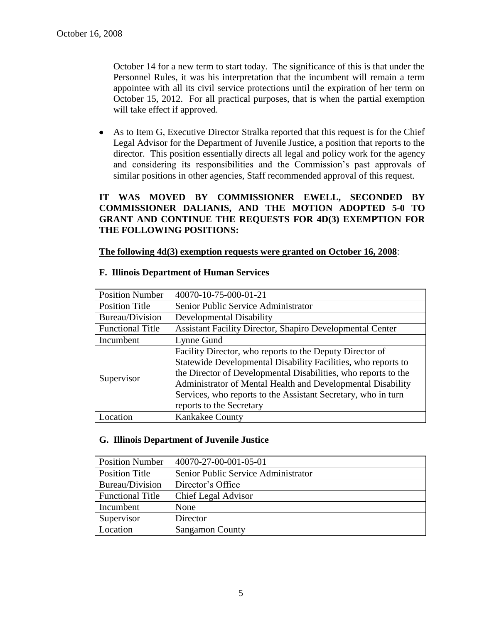October 14 for a new term to start today. The significance of this is that under the Personnel Rules, it was his interpretation that the incumbent will remain a term appointee with all its civil service protections until the expiration of her term on October 15, 2012. For all practical purposes, that is when the partial exemption will take effect if approved.

As to Item G, Executive Director Stralka reported that this request is for the Chief Legal Advisor for the Department of Juvenile Justice, a position that reports to the director. This position essentially directs all legal and policy work for the agency and considering its responsibilities and the Commission's past approvals of similar positions in other agencies, Staff recommended approval of this request.

# **IT WAS MOVED BY COMMISSIONER EWELL, SECONDED BY COMMISSIONER DALIANIS, AND THE MOTION ADOPTED 5-0 TO GRANT AND CONTINUE THE REQUESTS FOR 4D(3) EXEMPTION FOR THE FOLLOWING POSITIONS:**

## **The following 4d(3) exemption requests were granted on October 16, 2008**:

| <b>Position Number</b>  | 40070-10-75-000-01-21                                                                                                                                                                                                                                                                                                                                   |
|-------------------------|---------------------------------------------------------------------------------------------------------------------------------------------------------------------------------------------------------------------------------------------------------------------------------------------------------------------------------------------------------|
| <b>Position Title</b>   | Senior Public Service Administrator                                                                                                                                                                                                                                                                                                                     |
| Bureau/Division         | Developmental Disability                                                                                                                                                                                                                                                                                                                                |
| <b>Functional Title</b> | <b>Assistant Facility Director, Shapiro Developmental Center</b>                                                                                                                                                                                                                                                                                        |
| Incumbent               | Lynne Gund                                                                                                                                                                                                                                                                                                                                              |
| Supervisor              | Facility Director, who reports to the Deputy Director of<br>Statewide Developmental Disability Facilities, who reports to<br>the Director of Developmental Disabilities, who reports to the<br>Administrator of Mental Health and Developmental Disability<br>Services, who reports to the Assistant Secretary, who in turn<br>reports to the Secretary |
| Location                | <b>Kankakee County</b>                                                                                                                                                                                                                                                                                                                                  |

#### **F. Illinois Department of Human Services**

## **G. Illinois Department of Juvenile Justice**

| <b>Position Number</b>  | 40070-27-00-001-05-01               |
|-------------------------|-------------------------------------|
| <b>Position Title</b>   | Senior Public Service Administrator |
| Bureau/Division         | Director's Office                   |
| <b>Functional Title</b> | Chief Legal Advisor                 |
| Incumbent               | None                                |
| Supervisor              | Director                            |
| Location                | <b>Sangamon County</b>              |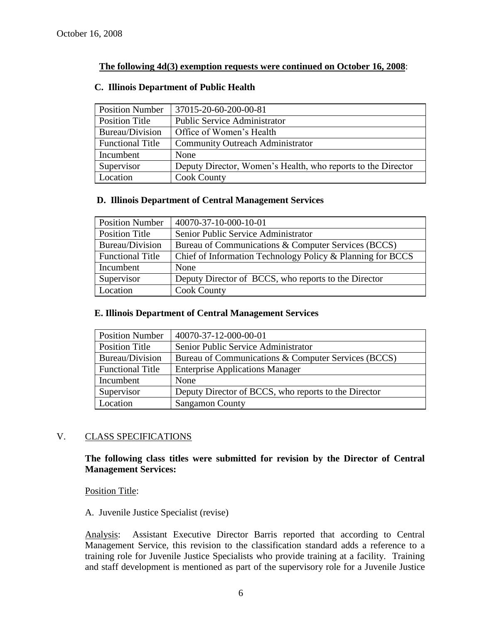# **The following 4d(3) exemption requests were continued on October 16, 2008**:

| <b>Position Number</b>  | 37015-20-60-200-00-81                                        |
|-------------------------|--------------------------------------------------------------|
| Position Title          | <b>Public Service Administrator</b>                          |
| Bureau/Division         | Office of Women's Health                                     |
| <b>Functional Title</b> | <b>Community Outreach Administrator</b>                      |
| Incumbent               | None                                                         |
| Supervisor              | Deputy Director, Women's Health, who reports to the Director |
| Location                | <b>Cook County</b>                                           |

## **C. Illinois Department of Public Health**

# **D. Illinois Department of Central Management Services**

| <b>Position Number</b>  | 40070-37-10-000-10-01                                      |
|-------------------------|------------------------------------------------------------|
| Position Title          | Senior Public Service Administrator                        |
| Bureau/Division         | Bureau of Communications & Computer Services (BCCS)        |
| <b>Functional Title</b> | Chief of Information Technology Policy & Planning for BCCS |
| Incumbent               | None                                                       |
| Supervisor              | Deputy Director of BCCS, who reports to the Director       |
| Location                | <b>Cook County</b>                                         |

#### **E. Illinois Department of Central Management Services**

| <b>Position Number</b>  | 40070-37-12-000-00-01                                |
|-------------------------|------------------------------------------------------|
| Position Title          | Senior Public Service Administrator                  |
| Bureau/Division         | Bureau of Communications & Computer Services (BCCS)  |
| <b>Functional Title</b> | <b>Enterprise Applications Manager</b>               |
| Incumbent               | None                                                 |
| Supervisor              | Deputy Director of BCCS, who reports to the Director |
| Location                | <b>Sangamon County</b>                               |

## V. CLASS SPECIFICATIONS

**The following class titles were submitted for revision by the Director of Central Management Services:**

Position Title:

## A. Juvenile Justice Specialist (revise)

Analysis: Assistant Executive Director Barris reported that according to Central Management Service, this revision to the classification standard adds a reference to a training role for Juvenile Justice Specialists who provide training at a facility. Training and staff development is mentioned as part of the supervisory role for a Juvenile Justice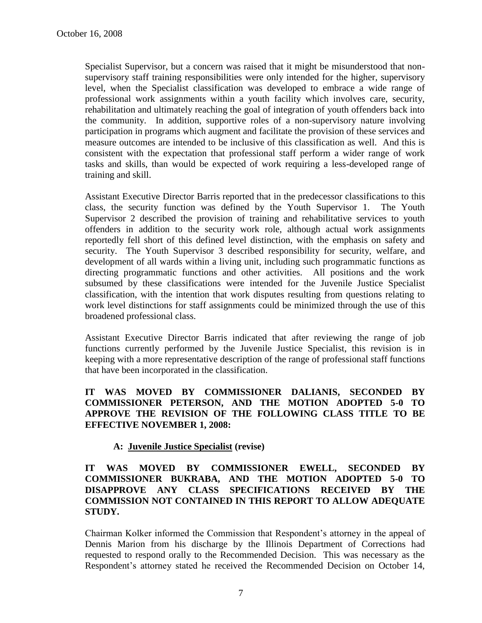Specialist Supervisor, but a concern was raised that it might be misunderstood that nonsupervisory staff training responsibilities were only intended for the higher, supervisory level, when the Specialist classification was developed to embrace a wide range of professional work assignments within a youth facility which involves care, security, rehabilitation and ultimately reaching the goal of integration of youth offenders back into the community. In addition, supportive roles of a non-supervisory nature involving participation in programs which augment and facilitate the provision of these services and measure outcomes are intended to be inclusive of this classification as well. And this is consistent with the expectation that professional staff perform a wider range of work tasks and skills, than would be expected of work requiring a less-developed range of training and skill.

Assistant Executive Director Barris reported that in the predecessor classifications to this class, the security function was defined by the Youth Supervisor 1. The Youth Supervisor 2 described the provision of training and rehabilitative services to youth offenders in addition to the security work role, although actual work assignments reportedly fell short of this defined level distinction, with the emphasis on safety and security. The Youth Supervisor 3 described responsibility for security, welfare, and development of all wards within a living unit, including such programmatic functions as directing programmatic functions and other activities. All positions and the work subsumed by these classifications were intended for the Juvenile Justice Specialist classification, with the intention that work disputes resulting from questions relating to work level distinctions for staff assignments could be minimized through the use of this broadened professional class.

Assistant Executive Director Barris indicated that after reviewing the range of job functions currently performed by the Juvenile Justice Specialist, this revision is in keeping with a more representative description of the range of professional staff functions that have been incorporated in the classification.

# **IT WAS MOVED BY COMMISSIONER DALIANIS, SECONDED BY COMMISSIONER PETERSON, AND THE MOTION ADOPTED 5-0 TO APPROVE THE REVISION OF THE FOLLOWING CLASS TITLE TO BE EFFECTIVE NOVEMBER 1, 2008:**

# **A: Juvenile Justice Specialist (revise)**

# **IT WAS MOVED BY COMMISSIONER EWELL, SECONDED BY COMMISSIONER BUKRABA, AND THE MOTION ADOPTED 5-0 TO DISAPPROVE ANY CLASS SPECIFICATIONS RECEIVED BY THE COMMISSION NOT CONTAINED IN THIS REPORT TO ALLOW ADEQUATE STUDY.**

Chairman Kolker informed the Commission that Respondent's attorney in the appeal of Dennis Marion from his discharge by the Illinois Department of Corrections had requested to respond orally to the Recommended Decision. This was necessary as the Respondent's attorney stated he received the Recommended Decision on October 14,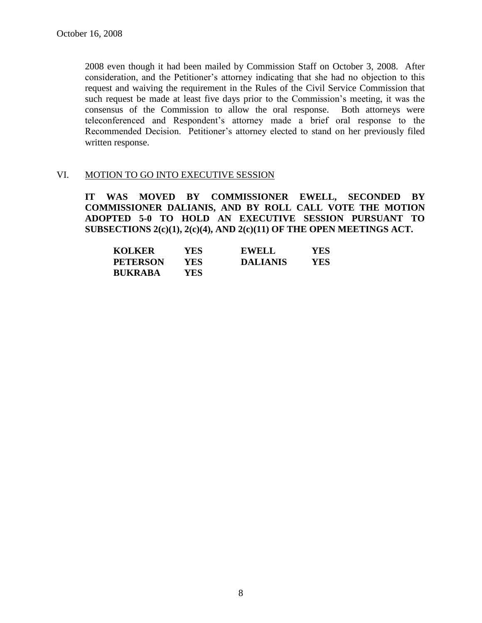2008 even though it had been mailed by Commission Staff on October 3, 2008. After consideration, and the Petitioner's attorney indicating that she had no objection to this request and waiving the requirement in the Rules of the Civil Service Commission that such request be made at least five days prior to the Commission's meeting, it was the consensus of the Commission to allow the oral response. Both attorneys were teleconferenced and Respondent's attorney made a brief oral response to the Recommended Decision. Petitioner's attorney elected to stand on her previously filed written response.

# VI. MOTION TO GO INTO EXECUTIVE SESSION

**IT WAS MOVED BY COMMISSIONER EWELL, SECONDED BY COMMISSIONER DALIANIS, AND BY ROLL CALL VOTE THE MOTION ADOPTED 5-0 TO HOLD AN EXECUTIVE SESSION PURSUANT TO SUBSECTIONS 2(c)(1), 2(c)(4), AND 2(c)(11) OF THE OPEN MEETINGS ACT.** 

| <b>KOLKER</b>   | YES  | <b>EWELL</b>    | YES |
|-----------------|------|-----------------|-----|
| <b>PETERSON</b> | YES  | <b>DALIANIS</b> | YES |
| <b>BUKRABA</b>  | YES. |                 |     |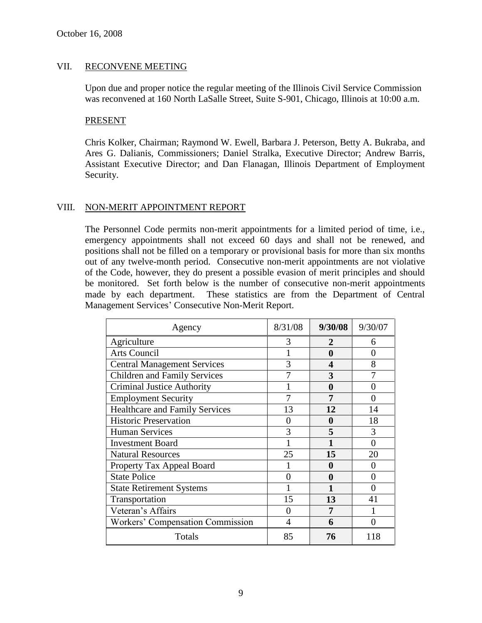# VII. RECONVENE MEETING

Upon due and proper notice the regular meeting of the Illinois Civil Service Commission was reconvened at 160 North LaSalle Street, Suite S-901, Chicago, Illinois at 10:00 a.m.

#### PRESENT

Chris Kolker, Chairman; Raymond W. Ewell, Barbara J. Peterson, Betty A. Bukraba, and Ares G. Dalianis, Commissioners; Daniel Stralka, Executive Director; Andrew Barris, Assistant Executive Director; and Dan Flanagan, Illinois Department of Employment Security.

## VIII. NON-MERIT APPOINTMENT REPORT

The Personnel Code permits non-merit appointments for a limited period of time, i.e., emergency appointments shall not exceed 60 days and shall not be renewed, and positions shall not be filled on a temporary or provisional basis for more than six months out of any twelve-month period. Consecutive non-merit appointments are not violative of the Code, however, they do present a possible evasion of merit principles and should be monitored. Set forth below is the number of consecutive non-merit appointments made by each department. These statistics are from the Department of Central Management Services' Consecutive Non-Merit Report.

| Agency                                | 8/31/08 | 9/30/08 | 9/30/07 |
|---------------------------------------|---------|---------|---------|
| Agriculture                           | 3       | 2       | 6       |
| Arts Council                          |         | 0       | 0       |
| <b>Central Management Services</b>    | 3       | 4       | 8       |
| <b>Children and Family Services</b>   |         | 3       |         |
| <b>Criminal Justice Authority</b>     |         | 0       | 0       |
| <b>Employment Security</b>            |         | 7       | 0       |
| <b>Healthcare and Family Services</b> | 13      | 12      | 14      |
| <b>Historic Preservation</b>          | 0       | 0       | 18      |
| <b>Human Services</b>                 | 3       | 5       | 3       |
| <b>Investment Board</b>               |         |         | 0       |
| <b>Natural Resources</b>              | 25      | 15      | 20      |
| Property Tax Appeal Board             |         | 0       | 0       |
| <b>State Police</b>                   | 0       | 0       | 0       |
| <b>State Retirement Systems</b>       |         |         |         |
| Transportation                        | 15      | 13      | 41      |
| Veteran's Affairs                     | 0       | 7       |         |
| Workers' Compensation Commission      | 4       | 6       | ∩       |
| Totals                                | 85      | 76      | 118     |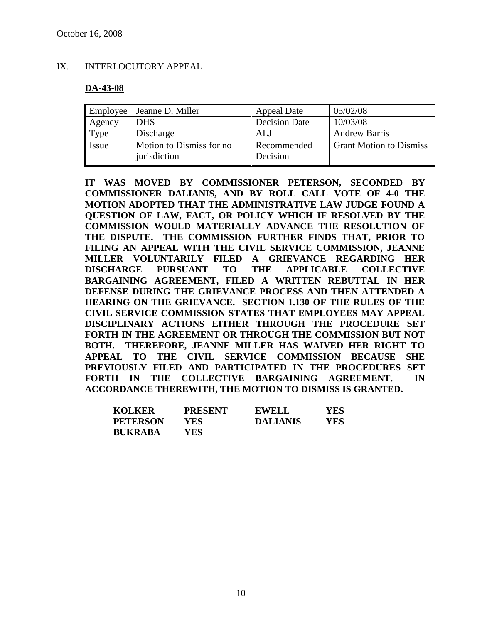# IX. INTERLOCUTORY APPEAL

# **DA-43-08**

| Employee | Jeanne D. Miller                          | <b>Appeal Date</b>      | 05/02/08                       |
|----------|-------------------------------------------|-------------------------|--------------------------------|
| Agency   | <b>DHS</b>                                | <b>Decision Date</b>    | 10/03/08                       |
| Type     | Discharge                                 | ALJ                     | <b>Andrew Barris</b>           |
| Issue    | Motion to Dismiss for no.<br>jurisdiction | Recommended<br>Decision | <b>Grant Motion to Dismiss</b> |

**IT WAS MOVED BY COMMISSIONER PETERSON, SECONDED BY COMMISSIONER DALIANIS, AND BY ROLL CALL VOTE OF 4-0 THE MOTION ADOPTED THAT THE ADMINISTRATIVE LAW JUDGE FOUND A QUESTION OF LAW, FACT, OR POLICY WHICH IF RESOLVED BY THE COMMISSION WOULD MATERIALLY ADVANCE THE RESOLUTION OF THE DISPUTE. THE COMMISSION FURTHER FINDS THAT, PRIOR TO FILING AN APPEAL WITH THE CIVIL SERVICE COMMISSION, JEANNE MILLER VOLUNTARILY FILED A GRIEVANCE REGARDING HER DISCHARGE PURSUANT TO THE APPLICABLE COLLECTIVE BARGAINING AGREEMENT, FILED A WRITTEN REBUTTAL IN HER DEFENSE DURING THE GRIEVANCE PROCESS AND THEN ATTENDED A HEARING ON THE GRIEVANCE. SECTION 1.130 OF THE RULES OF THE CIVIL SERVICE COMMISSION STATES THAT EMPLOYEES MAY APPEAL DISCIPLINARY ACTIONS EITHER THROUGH THE PROCEDURE SET FORTH IN THE AGREEMENT OR THROUGH THE COMMISSION BUT NOT BOTH. THEREFORE, JEANNE MILLER HAS WAIVED HER RIGHT TO APPEAL TO THE CIVIL SERVICE COMMISSION BECAUSE SHE PREVIOUSLY FILED AND PARTICIPATED IN THE PROCEDURES SET FORTH IN THE COLLECTIVE BARGAINING AGREEMENT. IN ACCORDANCE THEREWITH, THE MOTION TO DISMISS IS GRANTED.**

| <b>KOLKER</b>   | <b>PRESENT</b> | <b>EWELL</b>    | YES. |
|-----------------|----------------|-----------------|------|
| <b>PETERSON</b> | YES            | <b>DALIANIS</b> | YES  |
| <b>BUKRABA</b>  | <b>YES</b>     |                 |      |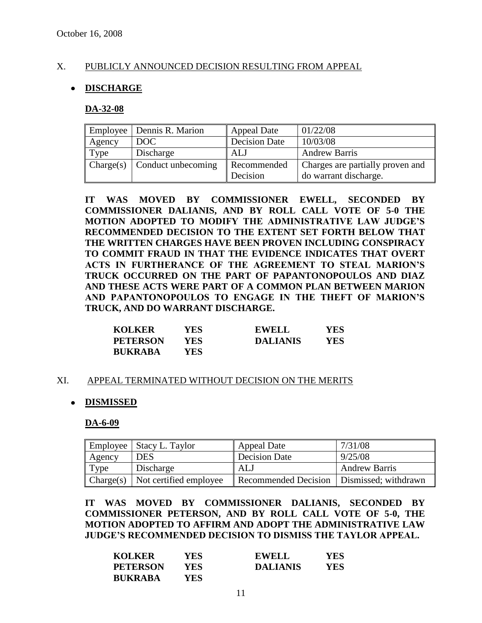# X. PUBLICLY ANNOUNCED DECISION RESULTING FROM APPEAL

# **DISCHARGE**

#### **DA-32-08**

|           | Employee   Dennis R. Marion | <b>Appeal Date</b>      | 01/22/08                                                  |
|-----------|-----------------------------|-------------------------|-----------------------------------------------------------|
| Agency    | DOC                         | <b>Decision Date</b>    | 10/03/08                                                  |
| Type      | Discharge                   | ALJ                     | <b>Andrew Barris</b>                                      |
| Change(s) | Conduct unbecoming          | Recommended<br>Decision | Charges are partially proven and<br>do warrant discharge. |

**IT WAS MOVED BY COMMISSIONER EWELL, SECONDED BY COMMISSIONER DALIANIS, AND BY ROLL CALL VOTE OF 5-0 THE MOTION ADOPTED TO MODIFY THE ADMINISTRATIVE LAW JUDGE'S RECOMMENDED DECISION TO THE EXTENT SET FORTH BELOW THAT THE WRITTEN CHARGES HAVE BEEN PROVEN INCLUDING CONSPIRACY TO COMMIT FRAUD IN THAT THE EVIDENCE INDICATES THAT OVERT ACTS IN FURTHERANCE OF THE AGREEMENT TO STEAL MARION'S TRUCK OCCURRED ON THE PART OF PAPANTONOPOULOS AND DIAZ AND THESE ACTS WERE PART OF A COMMON PLAN BETWEEN MARION AND PAPANTONOPOULOS TO ENGAGE IN THE THEFT OF MARION'S TRUCK, AND DO WARRANT DISCHARGE.**

| <b>KOLKER</b>   | YES  | <b>EWELL</b>    | <b>YES</b> |
|-----------------|------|-----------------|------------|
| <b>PETERSON</b> | YES. | <b>DALIANIS</b> | YES        |
| <b>BUKRABA</b>  | YES. |                 |            |

## XI. APPEAL TERMINATED WITHOUT DECISION ON THE MERITS

## **DISMISSED**

**DA-6-09**

| Employee  | Stacy L. Taylor        | <b>Appeal Date</b>                          | 7/31/08              |
|-----------|------------------------|---------------------------------------------|----------------------|
| Agency    | DES                    | <b>Decision Date</b>                        | 9/25/08              |
| Type      | Discharge              | ALJ                                         | <b>Andrew Barris</b> |
| Change(s) | Not certified employee | Recommended Decision   Dismissed; withdrawn |                      |

**IT WAS MOVED BY COMMISSIONER DALIANIS, SECONDED BY COMMISSIONER PETERSON, AND BY ROLL CALL VOTE OF 5-0, THE MOTION ADOPTED TO AFFIRM AND ADOPT THE ADMINISTRATIVE LAW JUDGE'S RECOMMENDED DECISION TO DISMISS THE TAYLOR APPEAL.**

| <b>KOLKER</b>   | YES        | <b>EWELL</b>    | YES  |
|-----------------|------------|-----------------|------|
| <b>PETERSON</b> | YES.       | <b>DALIANIS</b> | YES. |
| <b>BUKRABA</b>  | <b>YES</b> |                 |      |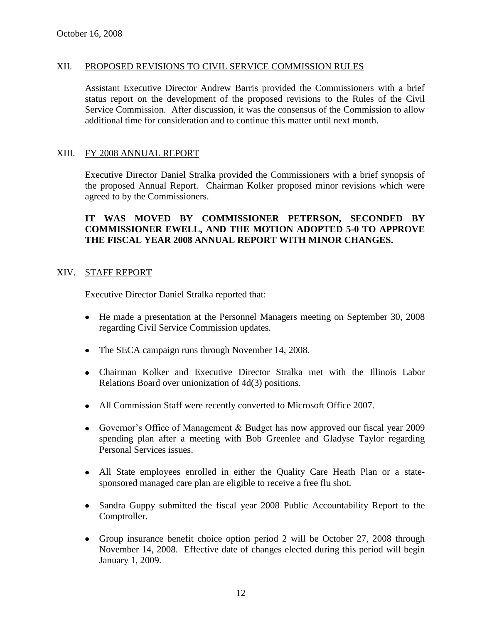## XII. PROPOSED REVISIONS TO CIVIL SERVICE COMMISSION RULES

Assistant Executive Director Andrew Barris provided the Commissioners with a brief status report on the development of the proposed revisions to the Rules of the Civil Service Commission. After discussion, it was the consensus of the Commission to allow additional time for consideration and to continue this matter until next month.

#### XIII. FY 2008 ANNUAL REPORT

Executive Director Daniel Stralka provided the Commissioners with a brief synopsis of the proposed Annual Report. Chairman Kolker proposed minor revisions which were agreed to by the Commissioners.

# **IT WAS MOVED BY COMMISSIONER PETERSON, SECONDED BY COMMISSIONER EWELL, AND THE MOTION ADOPTED 5-0 TO APPROVE THE FISCAL YEAR 2008 ANNUAL REPORT WITH MINOR CHANGES.**

## XIV. STAFF REPORT

Executive Director Daniel Stralka reported that:

- He made a presentation at the Personnel Managers meeting on September 30, 2008 regarding Civil Service Commission updates.
- The SECA campaign runs through November 14, 2008.
- Chairman Kolker and Executive Director Stralka met with the Illinois Labor Relations Board over unionization of 4d(3) positions.
- All Commission Staff were recently converted to Microsoft Office 2007.
- Governor's Office of Management & Budget has now approved our fiscal year 2009 spending plan after a meeting with Bob Greenlee and Gladyse Taylor regarding Personal Services issues.
- All State employees enrolled in either the Quality Care Heath Plan or a statesponsored managed care plan are eligible to receive a free flu shot.
- Sandra Guppy submitted the fiscal year 2008 Public Accountability Report to the Comptroller.
- Group insurance benefit choice option period 2 will be October 27, 2008 through November 14, 2008. Effective date of changes elected during this period will begin January 1, 2009.